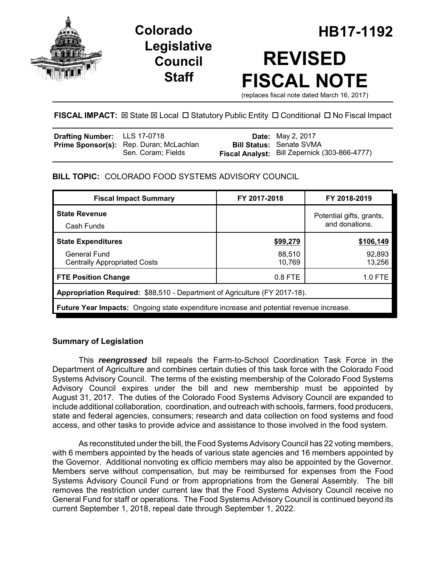

## **Legislative Council Staff**

# **Colorado HB17-1192 REVISED FISCAL NOTE**

(replaces fiscal note dated March 16, 2017)

#### **FISCAL IMPACT:** ⊠ State ⊠ Local □ Statutory Public Entity □ Conditional □ No Fiscal Impact

| <b>Drafting Number:</b> LLS 17-0718 |                                                | <b>Date:</b> May 2, 2017                      |
|-------------------------------------|------------------------------------------------|-----------------------------------------------|
|                                     | <b>Prime Sponsor(s):</b> Rep. Duran; McLachlan | <b>Bill Status: Senate SVMA</b>               |
|                                     | Sen. Coram; Fields                             | Fiscal Analyst: Bill Zepernick (303-866-4777) |

#### **BILL TOPIC:** COLORADO FOOD SYSTEMS ADVISORY COUNCIL

| <b>Fiscal Impact Summary</b>                                                            | FY 2017-2018     | FY 2018-2019                               |  |  |  |  |
|-----------------------------------------------------------------------------------------|------------------|--------------------------------------------|--|--|--|--|
| <b>State Revenue</b><br>Cash Funds                                                      |                  | Potential gifts, grants,<br>and donations. |  |  |  |  |
| <b>State Expenditures</b>                                                               | \$99,279         | \$106,149                                  |  |  |  |  |
| <b>General Fund</b><br><b>Centrally Appropriated Costs</b>                              | 88,510<br>10,769 | 92,893<br>13,256                           |  |  |  |  |
| <b>FTE Position Change</b>                                                              | $0.8$ FTE        | $1.0$ FTE                                  |  |  |  |  |
| Appropriation Required: \$88,510 - Department of Agriculture (FY 2017-18).              |                  |                                            |  |  |  |  |
| Future Year Impacts: Ongoing state expenditure increase and potential revenue increase. |                  |                                            |  |  |  |  |

#### **Summary of Legislation**

This *reengrossed* bill repeals the Farm-to-School Coordination Task Force in the Department of Agriculture and combines certain duties of this task force with the Colorado Food Systems Advisory Council. The terms of the existing membership of the Colorado Food Systems Advisory Council expires under the bill and new membership must be appointed by August 31, 2017. The duties of the Colorado Food Systems Advisory Council are expanded to include additional collaboration, coordination, and outreach with schools, farmers, food producers, state and federal agencies, consumers; research and data collection on food systems and food access, and other tasks to provide advice and assistance to those involved in the food system.

As reconstituted under the bill, the Food Systems Advisory Council has 22 voting members, with 6 members appointed by the heads of various state agencies and 16 members appointed by the Governor. Additional nonvoting ex officio members may also be appointed by the Governor. Members serve without compensation, but may be reimbursed for expenses from the Food Systems Advisory Council Fund or from appropriations from the General Assembly. The bill removes the restriction under current law that the Food Systems Advisory Council receive no General Fund for staff or operations. The Food Systems Advisory Council is continued beyond its current September 1, 2018, repeal date through September 1, 2022.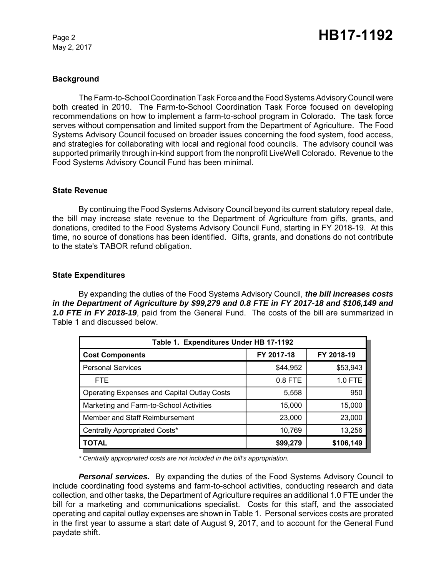May 2, 2017

#### **Background**

The Farm-to-School Coordination Task Force and the Food Systems Advisory Council were both created in 2010. The Farm-to-School Coordination Task Force focused on developing recommendations on how to implement a farm-to-school program in Colorado. The task force serves without compensation and limited support from the Department of Agriculture. The Food Systems Advisory Council focused on broader issues concerning the food system, food access, and strategies for collaborating with local and regional food councils. The advisory council was supported primarily through in-kind support from the nonprofit LiveWell Colorado. Revenue to the Food Systems Advisory Council Fund has been minimal.

#### **State Revenue**

By continuing the Food Systems Advisory Council beyond its current statutory repeal date, the bill may increase state revenue to the Department of Agriculture from gifts, grants, and donations, credited to the Food Systems Advisory Council Fund, starting in FY 2018-19. At this time, no source of donations has been identified. Gifts, grants, and donations do not contribute to the state's TABOR refund obligation.

#### **State Expenditures**

By expanding the duties of the Food Systems Advisory Council, *the bill increases costs in the Department of Agriculture by \$99,279 and 0.8 FTE in FY 2017-18 and \$106,149 and 1.0 FTE in FY 2018-19*, paid from the General Fund. The costs of the bill are summarized in Table 1 and discussed below.

| Table 1. Expenditures Under HB 17-1192             |            |            |  |  |  |
|----------------------------------------------------|------------|------------|--|--|--|
| <b>Cost Components</b>                             | FY 2017-18 | FY 2018-19 |  |  |  |
| <b>Personal Services</b>                           | \$44,952   | \$53,943   |  |  |  |
| <b>FTE</b>                                         | $0.8$ FTE  | 1.0 FTE    |  |  |  |
| <b>Operating Expenses and Capital Outlay Costs</b> | 5,558      | 950        |  |  |  |
| Marketing and Farm-to-School Activities            | 15,000     | 15,000     |  |  |  |
| Member and Staff Reimbursement                     | 23,000     | 23,000     |  |  |  |
| Centrally Appropriated Costs*                      | 10,769     | 13,256     |  |  |  |
| <b>TOTAL</b>                                       | \$99,279   | \$106,149  |  |  |  |

*\* Centrally appropriated costs are not included in the bill's appropriation.*

*Personal services.* By expanding the duties of the Food Systems Advisory Council to include coordinating food systems and farm-to-school activities, conducting research and data collection, and other tasks, the Department of Agriculture requires an additional 1.0 FTE under the bill for a marketing and communications specialist. Costs for this staff, and the associated operating and capital outlay expenses are shown in Table 1. Personal services costs are prorated in the first year to assume a start date of August 9, 2017, and to account for the General Fund paydate shift.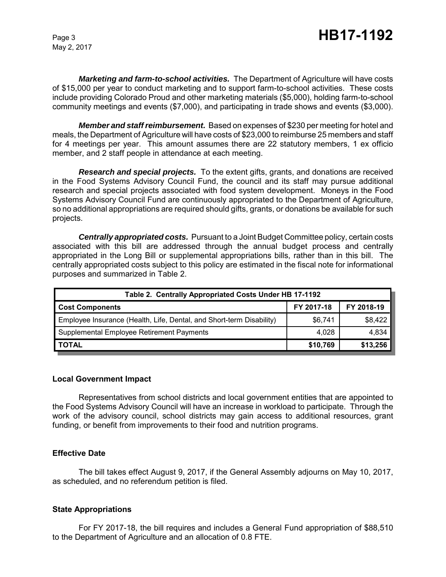May 2, 2017

*Marketing and farm-to-school activities.* The Department of Agriculture will have costs of \$15,000 per year to conduct marketing and to support farm-to-school activities. These costs include providing Colorado Proud and other marketing materials (\$5,000), holding farm-to-school community meetings and events (\$7,000), and participating in trade shows and events (\$3,000).

*Member and staff reimbursement.* Based on expenses of \$230 per meeting for hotel and meals, the Department of Agriculture will have costs of \$23,000 to reimburse 25 members and staff for 4 meetings per year. This amount assumes there are 22 statutory members, 1 ex officio member, and 2 staff people in attendance at each meeting.

*Research and special projects.* To the extent gifts, grants, and donations are received in the Food Systems Advisory Council Fund, the council and its staff may pursue additional research and special projects associated with food system development. Moneys in the Food Systems Advisory Council Fund are continuously appropriated to the Department of Agriculture, so no additional appropriations are required should gifts, grants, or donations be available for such projects.

*Centrally appropriated costs.* Pursuant to a Joint Budget Committee policy, certain costs associated with this bill are addressed through the annual budget process and centrally appropriated in the Long Bill or supplemental appropriations bills, rather than in this bill. The centrally appropriated costs subject to this policy are estimated in the fiscal note for informational purposes and summarized in Table 2.

| Table 2. Centrally Appropriated Costs Under HB 17-1192               |            |            |  |  |  |
|----------------------------------------------------------------------|------------|------------|--|--|--|
| <b>Cost Components</b>                                               | FY 2017-18 | FY 2018-19 |  |  |  |
| Employee Insurance (Health, Life, Dental, and Short-term Disability) | \$6,741    | \$8,422    |  |  |  |
| Supplemental Employee Retirement Payments                            | 4.028      | 4,834      |  |  |  |
| <b>TOTAL</b>                                                         | \$10,769   | \$13,256   |  |  |  |

#### **Local Government Impact**

Representatives from school districts and local government entities that are appointed to the Food Systems Advisory Council will have an increase in workload to participate. Through the work of the advisory council, school districts may gain access to additional resources, grant funding, or benefit from improvements to their food and nutrition programs.

#### **Effective Date**

The bill takes effect August 9, 2017, if the General Assembly adjourns on May 10, 2017, as scheduled, and no referendum petition is filed.

#### **State Appropriations**

For FY 2017-18, the bill requires and includes a General Fund appropriation of \$88,510 to the Department of Agriculture and an allocation of 0.8 FTE.